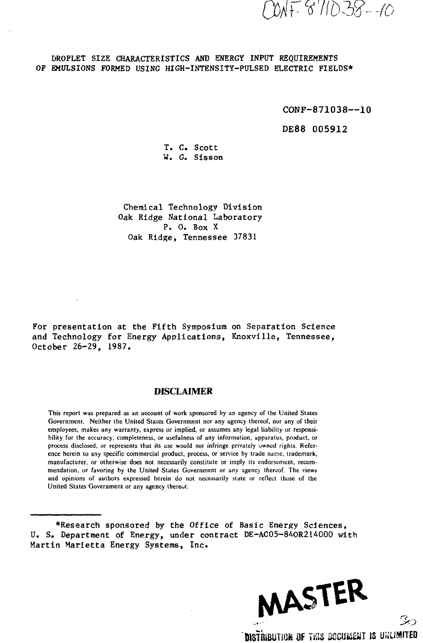F 8'11D38--10

## DROPLET SIZE CHARACTERISTICS AND ENERGY INPUT REQUIREMENTS OF EMULSIONS FORMED USING HIGH-INTENSITY-PULSED ELECTRIC FIELDS\*

CONF-871038---10

DE88 005912

T. C. Scott W. G. Sisson

Chemical Technology Division Oak Ridge National Laboratory P. 0. Box X Oak Ridge, Tennessee 37831

For presentation at the Fifth Symposium on Separation Science and Technology for Energy Applications, Knoxville, Tennessee, October 26-29, 1987.

### DISCLAIMER

This report was prepared as an account of work sponsored by an agency of the United States Government. Neither the United States Government nor any agency thereof, nor any of their employees, makes any warranty, express or implied, or assumes any legal liability or responsibility for the accuracy, completeness, or usefulness of any information, apparatus, product, or process disclosed, or represents that its use would not infringe privately owned rights. Reference herein to any specific commercial product, process, or service by trade name, trademark, manufacturer, or otherwise does not necessarily constitute or imply its endorsement, recommendation, or favoring by the United States Government or any agency thereof. The views and opinions of authors expressed herein do not necessarily state or reflect those of the United States Government or any agency thereof.

\*Research sponsored by the Office of Basic Energy Sciences, U. S. Department of Energy, under contract DE-AC05-84OR214000 with Martin Marietta Energy Systems, Inc.

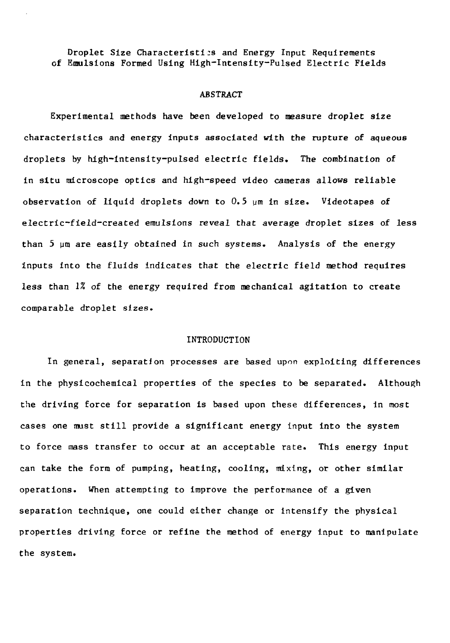Droplet Size Characteristics and Energy Input Requirements of Emulsions Formed Using High-Intensity-Pulsed Electric Fields

#### ABSTRACT

Experimental methods have been developed to measure droplet size characteristics and energy inputs associated with the rupture of aqueous droplets by high-intensity-pulsed electric fields. The combination of in situ microscope optics and high—speed video cameras allows reliable observation of liquid droplets down to 0.5 ym in size. Videotapes of electric-field-created emulsions reveal that average droplet sizes of less than 5 um are easily obtained in such systems. Analysis of the energy inputs into the fluids indicates that the electric field method requires less than *\%* of the energy required from mechanical agitation to create comparable droplet sizes.

### INTRODUCTION

In general, separation processes are based upon exploiting differences in the physicochemical properties of the species to be separated. Although the driving force for separation is based upon these differences, in most cases one must still provide a significant energy input into the system to force mass transfer to occur at an acceptable rate. This energy input can take the form of pumping, heating, cooling, mixing, or other similar operations. When attempting to improve the performance of a given separation technique, one could either change or intensify the physical properties driving force or refine the method of energy input to manipulate the system.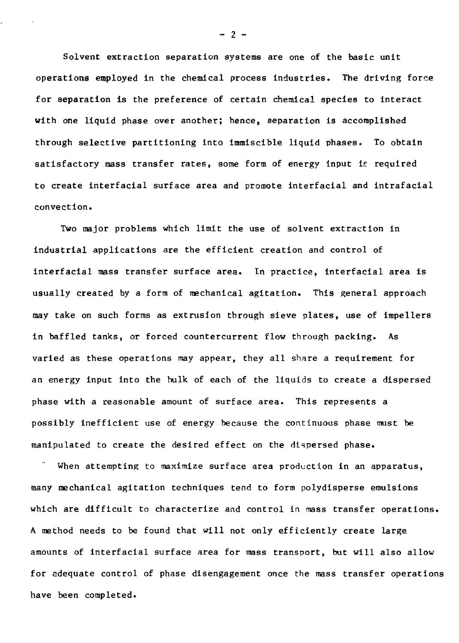Solvent extraction separation systems are one of the basic unit operations employed in the chemical process industries. The driving force for separation is the preference of certain chemical species to interact with one liquid phase over another; hence, separation is accomplished through selective partitioning into immiscible liquid phases. To obtain satisfactory mass transfer rates, some form of energy input ie required to create interfacial surface area and promote interfacial and intrafacial convection.

Two major problems which limit the use of solvent extraction in industrial applications are the efficient creation and control of interfacial mass transfer surface area. In practice, interfacial area is usually created by a form of mechanical agitation. This general approach may take on such forms as extrusion through sieve plates, use of impellers in baffled tanks, or forced countercurrent flow through packing. As varied as these operations may appear, they all share a requirement for an energy input into the bulk of each of the liquids to create a dispersed phase with a reasonable amount of surface area. This represents a possibly inefficient use of energy because the continuous phase must be manipulated to create the desired effect on the dispersed phase.

When attempting to maximize surface area production in an apparatus, many mechanical agitation techniques tend to form polydisperse emulsions which are difficult to characterize and control in mass transfer operations. A method needs to be found that will not only efficiently create large amounts of interfacial surface area for mass transport, but will also allow for adequate control of phase disengagement once the mass transfer operations have been completed.

 $- 2 -$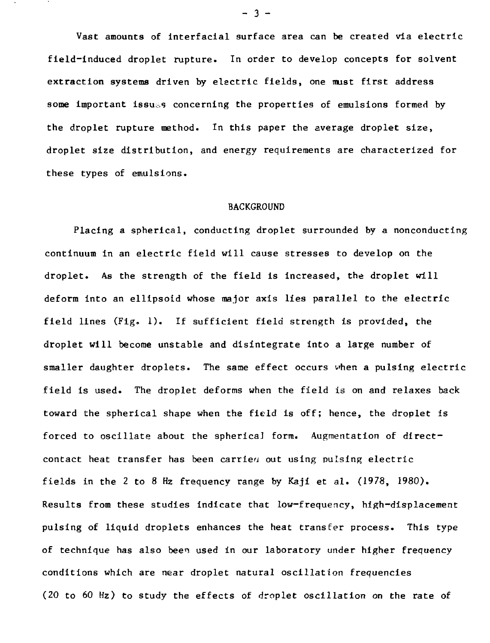Vast amounts of interfacial surface area can be created via electric field-induced droplet rupture. In order to develop concepts for solvent extraction systems driven by electric fields, one must first address some important issues concerning the properties of emulsions formed by the droplet rupture method. In this paper the average droplet size, droplet size distribution, and energy requirements are characterized for these types of emulsions.

### BACKGROUND

Placing a spherical, conducting droplet surrounded by a nonconducting continuum in an electric field will cause stresses to develop on the droplet. As the strength of the field is increased, the droplet will deform into an ellipsoid whose major axis lies parallel to the electric field lines (Fig. 1). If sufficient field strength is provided, the droplet will become unstable and disintegrate into a large number of smaller daughter droplets. The same effect occurs when a pulsing electric field is used. The droplet deforms when the field is on and relaxes back toward the spherical shape when the field is off; hence, the droplet is forced to oscillate about the sphericaJ form. Augmentation of directcontact heat transfer has been carried out using pulsing electric fields in the 2 to 8 Hz frequency range by Kaji et al. (1978, 1980). Results from these studies indicate that low-frequency, high-displacement pulsing of liquid droplets enhances the heat transfer process. This type of technique has also been used in our laboratory under higher frequency conditions which are near droplet natural oscillation frequencies (20 to 60 Hz) to study the effects of droplet oscillation on the rate of

 $- 3 -$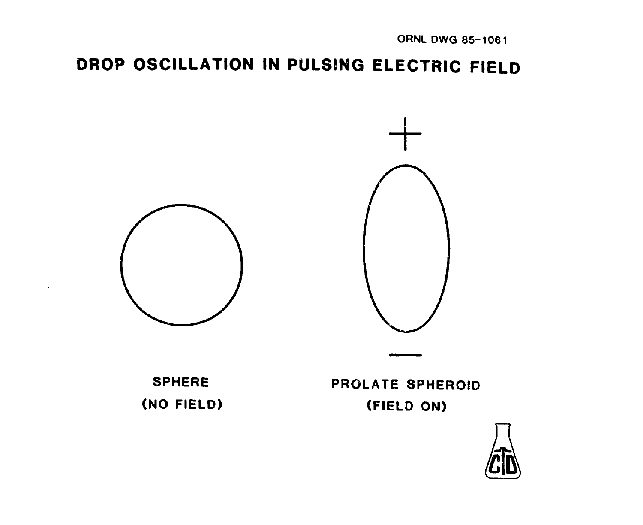# **DROP OSCILLATION IN PULSING ELECTRIC FIELD**



**SPHERE (NO FIELD)**

**PROLATE SPHEROID (FIELD ON)**

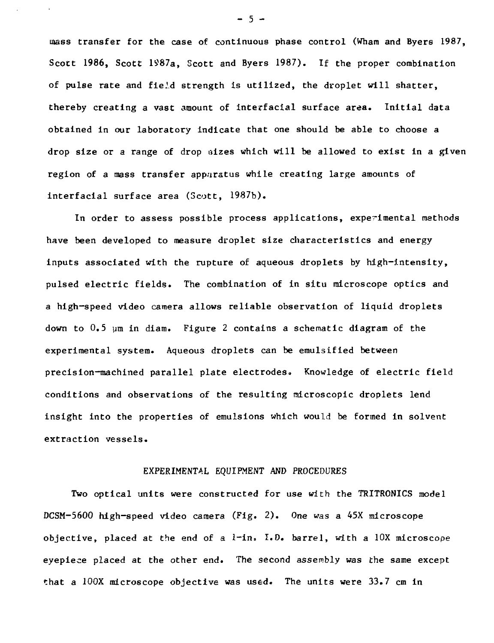mass transfer for the case of continuous phase control (Wham and Byers 1987, Scoct 1986, Scott 1987a, Scott and Byers 1987). If the proper combination of **pulse rate** and field strength is utilized, the droplet will shatter, thereby creating a vast amount of interfacial surface area. Initial data obtained in our laboratory indicate that one should be able to choose a drop size or a range of drop sizes which will be allowed to exist in a given region of a mass transfer apparatus while creating large amounts of interfacial surface area (Scott, 1987b).

In order to assess possible process applications, experimental methods have been developed to measure droplet size diaracteristics and energy inputs associated with the rupture of aqueous droplets by high-intensity, pulsed electric fields. The combination of in situ microscope optics and a high-speed video camera allows reliable observation of liquid droplets down to  $0.5$  um in diam. Figure 2 contains a schematic diagram of the experimental system. Aqueous droplets can be emulsified between precision-machined parallel plate electrodes. Knowledge of electric field conditions and observations of the resulting microscopic droplets lend insight into the properties of emulsions which would be formed in solvent extraction vessels.

### EXPERIMENTAL EQUIPMENT AND PROCEDURES

Two optical units were constructed for use with the TRITRONICS model DCSM-5600 high-speed video camera (Fig. 2). One was a 45X microscope objective, placed at the end of a  $l$ -in. I.D. barrel, with a  $l$ OX microscope eyepiece placed at the other end. The second assembly was the same except that a 100X microscope objective was used. The units were 33.7 cm in

 $-5 -$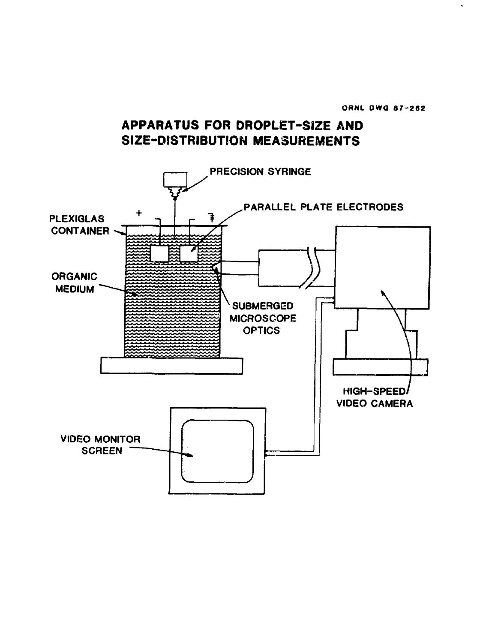**ORNL DWG 87-262** 

# **APPARATUS FOR DROPLET-SIZE AND SIZE-DISTRIBUTION MEASUREMENTS**

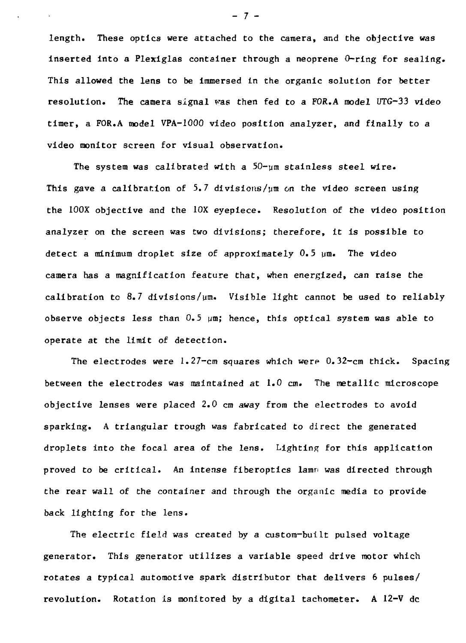length. These optics were attached to the camera, and the objective was inserted into a Plexiglas container through a neoprene O-ring for sealing. This allowed the lens to be immersed in the organic solution for better resolution. The camera signal was then fed to a FOR.A model UTG-33 video timer, a FOR.A model VPA-1000 video position analyzer, and finally *to* a video monitor screen for visual observation.

The system was calibrated with a  $50 - \mu m$  stainless steel wire. This gave a calibration of 5.7 divisions/ $\mu$ m on the video screen using the 100X objective and the 10X eyepiece. Resolution of the video position analyzer on the screen was two divisions; therefore, it is possible to detect a minimum droplet size of approximately 0.5 um. The video camera has a magnification feature that, when energized, can raise the calibration to 8.7 divisions/pm. Visible light cannot be used to reliably observe objects less than 0.5 *\jna;* hence, this optical system was able to operate at the limit of detection.

The electrodes were  $l$ .  $27$ -cm squares which were  $0.32$ -cm thick. Spacing between the electrodes was maintained at 1.0 *cm.* The metallic microscope objective lenses were placed 2.0 cm away from the electrodes to avoid sparking. A triangular trough was fabricated to direct the generated droplets into the focal area of the lens. Lighting for this application proved to be critical. An intense fiberoptics lamp was directed through the rear wall of the container and through the organic media to provide back lighting for the lens.

The electric field was created by a custom-built pulsed voltage generator. This generator utilizes a variable speed drive motor which rotates a typical automotive spark distributor that delivers 6 pulses/ revolution. Rotation is monitored by a digital tachometer. A 12-V dc

- 7 -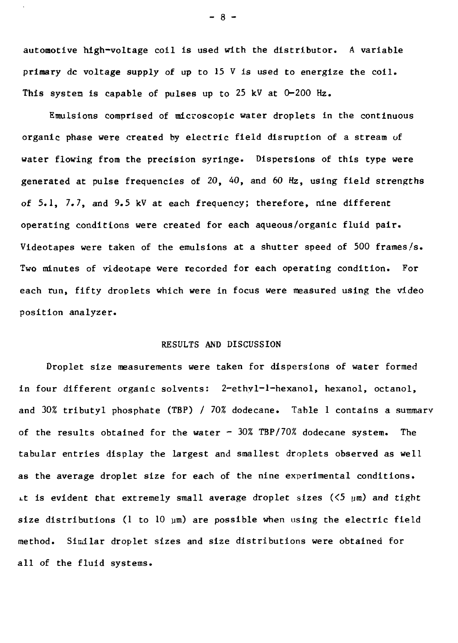automotive high-voltage coil is used with the distributor. A variable primary dc voltage supply of up to  $15 \tV$  is used to energize the coil. This system is capable of pulses up to 25 kV at  $0-200$  Hz.

Emulsions comprised of microscopic water droplets in the continuous organic phase were created by electric field disruption of a stream of water flowing from the precision syringe. Dispersions of this type were generated at pulse frequencies of 20, 40, and 60 Hz, using field strengths of 5.1, 7.7, and 9.5 kV at each frequency; therefore, nine different operating conditions were created for each aqueous/organic fluid pair. Videotapes were taken of the emulsions at a shutter speed of 500 frames/s. Two minutes of videotape were recorded for each operating condition. For each run, fifty droplets which were in focus were measured using the video position analyzer.

### RESULTS AND DISCUSSION

Droplet size measurements were taken for dispersions of water formed in four different organic solvents: 2-ethyl-l-hexanol, hexanol, octanol, and 30% tributyl phosphate (TBP) / 70% dodecane. Table 1 contains a summary of the results obtained for the water  $-$  30% TBP/70% dodecane system. The tabular entries display the largest and smallest droplets observed as well as the average droplet size for each of the nine experimental conditions. It is evident that extremely small average droplet sizes ( $\leq 5$   $\mu$ m) and tight size distributions (1 to 10  $\mu$ m) are possible when using the electric field method. Similar droplet sizes and size distributions were obtained for all of the fluid systems.

- 8 -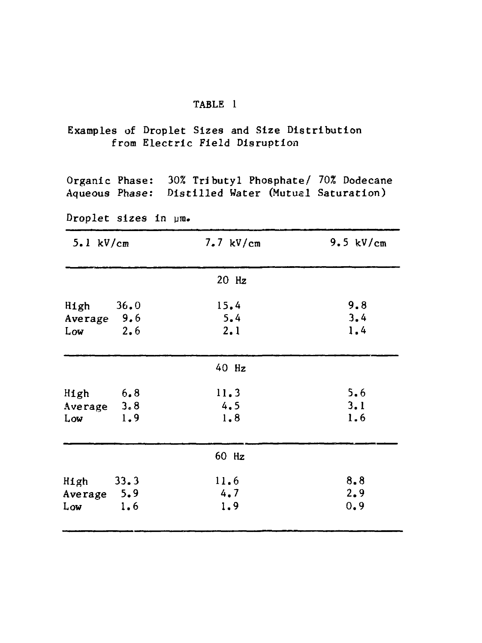### TABLE 1

# Examples of Droplet Sizes and Size Distribution from Electric Field Disruption

Organic Phase: 30% Tri butyl Phosphate/ 70% Dodecane Aqueous Phase: Distilled Water (Mutual Saturation)

Droplet sizes in um.

| $5.1 \text{ kV/cm}$          | $7.7$ kV/cm | 9.5 $kV/cm$ |
|------------------------------|-------------|-------------|
|                              | 20 Hz       |             |
| 36.0<br>High                 | 15.4        | 9.8         |
| Average 9.6<br>2.6<br>Low    | 5.4<br>2.1  | 3.4<br>1.4  |
|                              | 40 Hz       |             |
| 6.8<br>High                  | 11.3        | 5.6         |
| 3.8<br>Average<br>1.9<br>Low | 4.5<br>1.8  | 3.1<br>1.6  |
|                              | 60 Hz       |             |
| High<br>33.3                 | 11.6        | 8.8         |
| Average 5.9<br>1.6<br>Low    | 4.7<br>1.9  | 2.9<br>0.9  |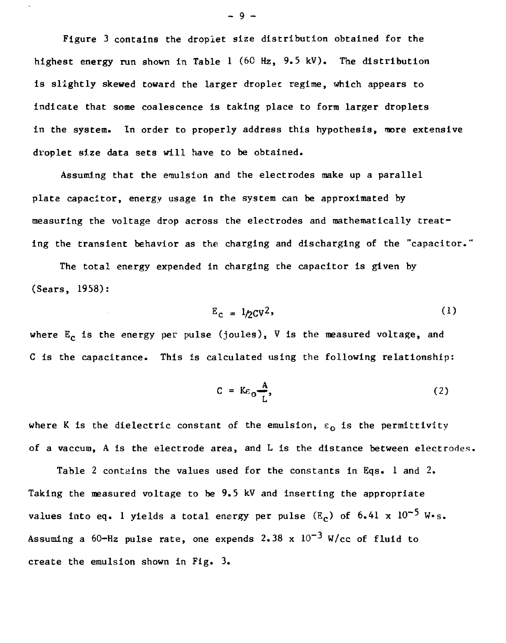Figure 3 contains the droplet size distribution obtained for the highest energy run shown in Table 1 (60 Hz,  $9.5$  kV). The distribution is slightly skewed toward the larger droplet regime, which appears to indicate that some coalescence is taking place to form larger droplets in the system. In order to properly address this hypothesis, more extensive droplet size data sets will have to be obtained.

Assuming that the emulsion and the electrodes make up a parallel plate capacitor, energy usage in the system can be approximated by measuring the voltage drop across the electrodes and mathematically treating the transient behavior as the charging and discharging of the "capacitor."

The total energy expended in charging the capacitor is given by (Sears, 1958):

$$
E_{\rm c} = 1/2CV^2,
$$
 (1)

where  $E_c$  is the energy per pulse (joules), V is the measured voltage, and C is the capacitance. This is calculated using the following relationship:

$$
C = K\varepsilon_0 \frac{A}{L}, \qquad (2)
$$

where K is the dielectric constant of the emulsion,  $\varepsilon_0$  is the permittivity of a vaccum, A is the electrode area, and  $L$  is the distance between electrodes.

Table 2 contains the values used for the constants in Eqs. 1 and 2. Taking the measured voltage to be 9.5 kV and inserting the appropriate values into eq.  $l$  yields a total energy per pulse  $(\tt{E}_c)$  of  $\tt6.4l$  x  $10^{-5}$  W $\cdot$ s. Assuming a 60-Hz pulse rate, one expends  $2.38 \times 10^{-3}$  W/cc of fluid to create the emulsion shown in Fig. 3.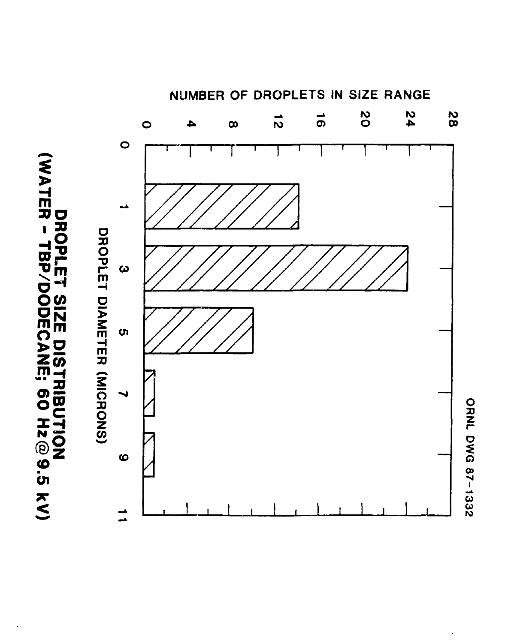



**ORNL DWG 87-1332** 

NUMBER OF DROPLETS IN SIZE RANGE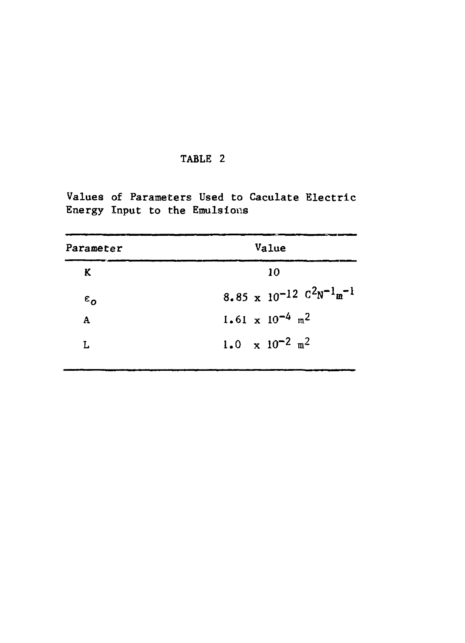# TABLE 2

Values of Parameters Used to Caculate Electric Energy Input to the Emulsions

| Value<br>Parameter |                                              |
|--------------------|----------------------------------------------|
| K                  | 10                                           |
| $\varepsilon_{o}$  | 8.85 x 10-12 $C^2N^{-1}m^{-1}$               |
| A                  | $1.61 \times 10^{-4}$ m <sup>2</sup>         |
| L                  | 1.0 $\times$ 10 <sup>-2</sup> m <sup>2</sup> |
|                    |                                              |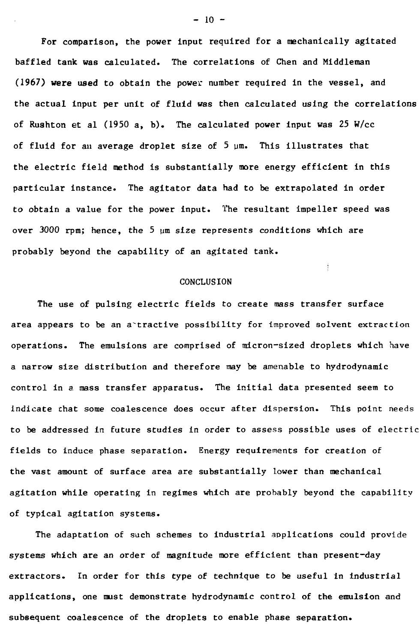For comparison, the power input required for a mechanically agitated baffled tank was calculated. The correlations of Chen and Middleman (1967) were used to obtain the power number required in the vessel, and the actual input per unit of fluid was then calculated using the correlations of Rushton et al  $(1950 a, b)$ . The calculated power input was 25 W/cc of fluid for an average droplet size of  $5 \text{ nm}$ . This illustrates that the electric field method is substantially more energy efficient in this particular instance. The agitator data had to be extrapolated in order to obtain a value for the power input. The resultant impeller speed was over 3000 rpm; hence, the 5 ym size represents conditions which are probably beyond the capability of an agitated tank.

### **CONCLUSION**

The use of pulsing electric fields to create mass transfer surface area appears to be an a tractive possibility for improved solvent extraction operations. The emulsions are comprised of micron-sized droplets which have a narrow size distribution and therefore may be amenable to hydrodynamic control in a mass transfer apparatus. The initial data presented seem to indicate that some coalescence does occur after dispersion. This point needs to be addressed in future studies in order to assess possible uses of electric fields to induce phase separation. Energy requirements for creation of the vast amount of surface area are substantially lower than mechanical agitation while operating in regimes which are probably beyond the capability of typical agitation systems.

The adaptation of such schemes to industrial applications could provide systems which are an order of magnitude more efficient than present-day extractors. In order for this type of technique to be useful in industrial applications, one must demonstrate hydrodynamic control of the emulsion and subsequent coalescence of the droplets to enable phase separation.

 $- 10 -$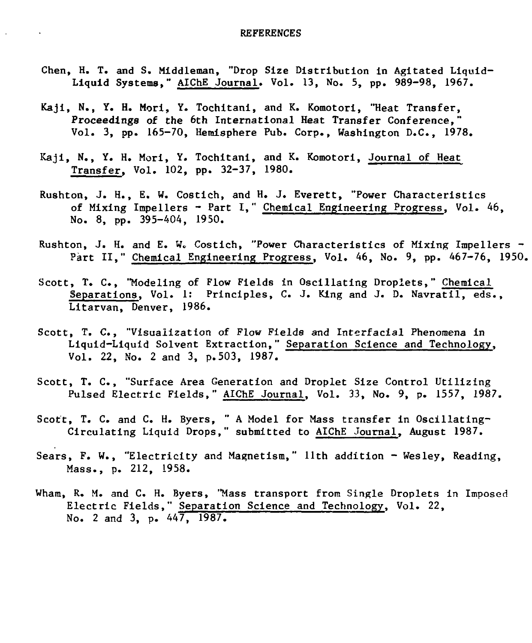$\mathcal{L}^{\mathcal{L}}$ 

- Chen, H. T. and S. Middleman, "Drop Size Distribution in Agitated Liquid-Liquid Systems," AIChE Journal. Vol. 13, No. 5, pp. 989-98, 1967.
- Kaji, **N.**, Y. **H. Mori,** Y. Tochitani, and K. Komotori, "Heat Transfer, Proceedings of the 6th International Heat Transfer Conference," Vol. 3, pp. 165-70, Hemisphere Pub. Corp., Washington D.C., 1978.
- Kaji, N., Y. H. Mori, Y. Tochitani, and K. Komotori, Journal of Heat Transfer, Vol. 102, pp. 32-37, 1980.
- Rushton, J. H., E, W. Costich, and H. J. Everett, "Power Characteristics of Mixing Impellers - Part I," Chemical Engineering Progress, Vol. 46, No. 8, pp. 395-404, 1950.
- Rushton, J. H. and E. W« Costich, "Power Characteristics of Mixing Impellers Part II," Chemical Engineering Progress, Vol. 46, No. 9, pp. 467-76, 1950.
- Scott, T. C., "Modeling of Flow Fields in Oscillating Droplets," Chemical Separations, Vol. 1: Principles, C. J. King and J. D. Navratil, eds., Litarvan, Denver, 1986.
- Scott, T. C., "Visualization of Flow Fields and Interfacial Phenomena in Liquid-Liquid Solvent Extraction," Separation Science and Technology, Vol. 22, No. 2 and 3, p.503, 1987.
- Scott, T. C., "Surface Area Generation and Droplet Size Control Utilizing Pulsed Electric Fields," AIChE Journal, Vol. 33, No. 9, p. 1557, 1987.
- Scott, T. C. and C. H. Byers, " A Model for Mass transfer in Oscillating-Circulating Liquid Drops," submitted to AIChE Journal, August 1987.
- Sears, F. W., "Electricity and Magnetism," llth addition Wesley, Reading, Mass., p. 212, 1958.
- Wham, R. M. and C. H. Byers, "Mass transport from Single Droplets in Imposed Electric Fields," Separation Science and Technology, Vol. 22, No. 2 and 3, p. 447, 1987.